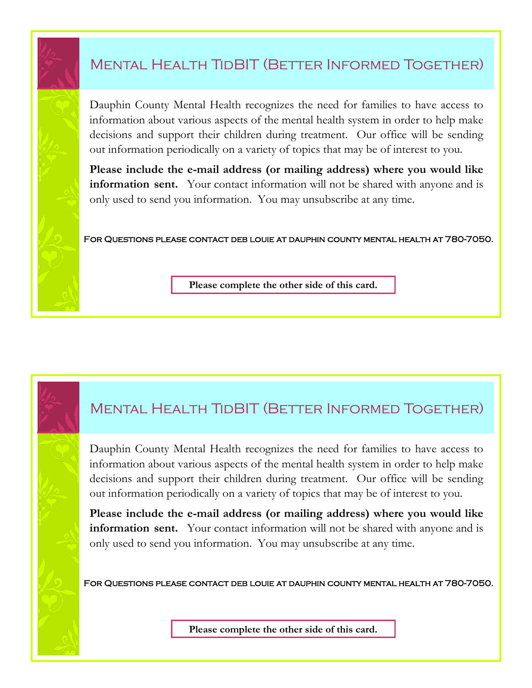## Mental Health TidBIT (Better Informed Together)

Dauphin County Mental Health recognizes the need for families to have access to information about various aspects of the mental health system in order to help make decisions and support their children during treatment. Our office will be sending out information periodically on a variety of topics that may be of interest to you.

**Please include the e-mail address (or mailing address) where you would like information sent.** Your contact information will not be shared with anyone and is only used to send you information. You may unsubscribe at any time.

For Questions please contact deb louie at dauphin county mental health at 780-7050.

**Please complete the other side of this card.**

## Mental Health TidBIT (Better Informed Together)

Dauphin County Mental Health recognizes the need for families to have access to information about various aspects of the mental health system in order to help make decisions and support their children during treatment. Our office will be sending out information periodically on a variety of topics that may be of interest to you.

**Please include the e-mail address (or mailing address) where you would like information sent.** Your contact information will not be shared with anyone and is only used to send you information. You may unsubscribe at any time.

For Questions please contact deb louie at dauphin county mental health at 780-7050.

**Please complete the other side of this card.**